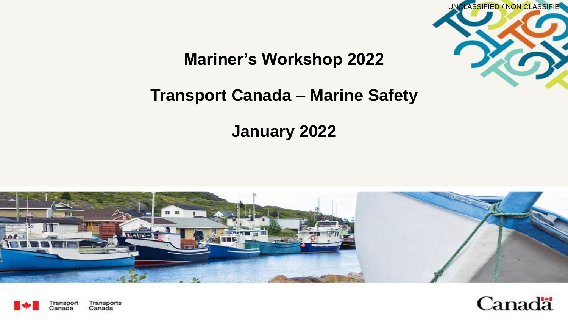

### **Mariner's Workshop 2022**

### **Transport Canada – Marine Safety**

**January 2022**





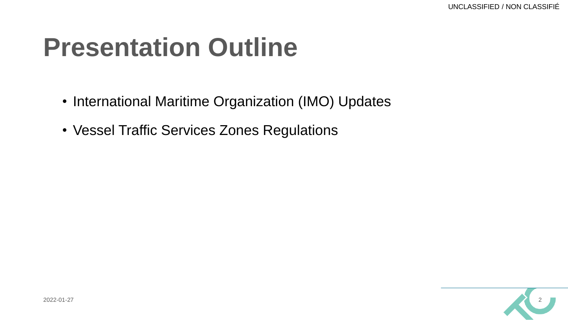# **Presentation Outline**

- International Maritime Organization (IMO) Updates
- Vessel Traffic Services Zones Regulations

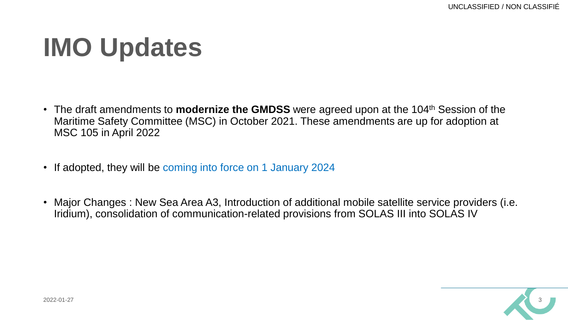# **IMO Updates**

- The draft amendments to **modernize the GMDSS** were agreed upon at the 104th Session of the Maritime Safety Committee (MSC) in October 2021. These amendments are up for adoption at MSC 105 in April 2022
- If adopted, they will be coming into force on 1 January 2024
- Major Changes : New Sea Area A3, Introduction of additional mobile satellite service providers (i.e. Iridium), consolidation of communication-related provisions from SOLAS III into SOLAS IV

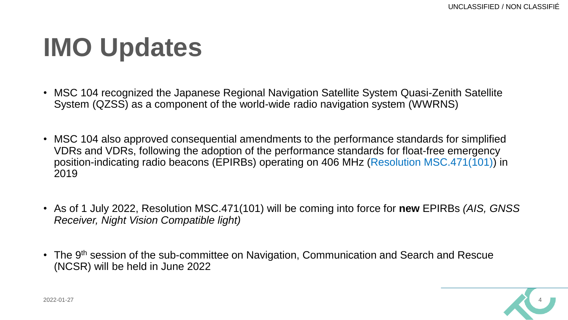# **IMO Updates**

- MSC 104 recognized the Japanese Regional Navigation Satellite System Quasi-Zenith Satellite System (QZSS) as a component of the world-wide radio navigation system (WWRNS)
- MSC 104 also approved consequential amendments to the performance standards for simplified VDRs and VDRs, following the adoption of the performance standards for float-free emergency position-indicating radio beacons (EPIRBs) operating on 406 MHz (Resolution MSC.471(101)) in 2019
- As of 1 July 2022, Resolution MSC.471(101) will be coming into force for **new** EPIRBs *(AIS, GNSS Receiver, Night Vision Compatible light)*
- The 9<sup>th</sup> session of the sub-committee on Navigation, Communication and Search and Rescue (NCSR) will be held in June 2022

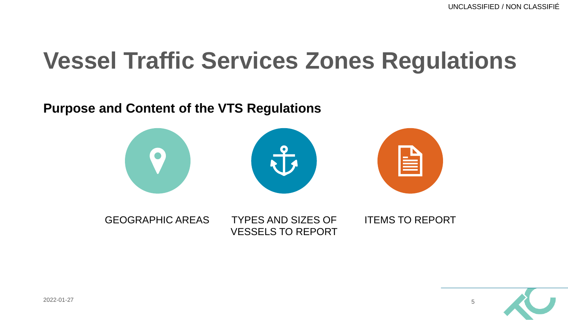#### **Purpose and Content of the VTS Regulations**



GEOGRAPHIC AREAS TYPES AND SIZES OF VESSELS TO REPORT ITEMS TO REPORT

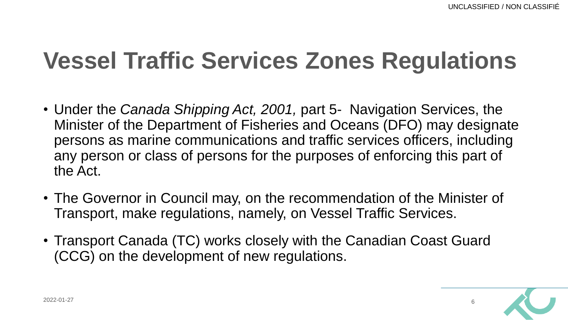- Under the *Canada Shipping Act, 2001,* part 5- Navigation Services, the Minister of the Department of Fisheries and Oceans (DFO) may designate persons as marine communications and traffic services officers, including any person or class of persons for the purposes of enforcing this part of the Act.
- The Governor in Council may, on the recommendation of the Minister of Transport, make regulations, namely, on Vessel Traffic Services.
- Transport Canada (TC) works closely with the Canadian Coast Guard (CCG) on the development of new regulations.

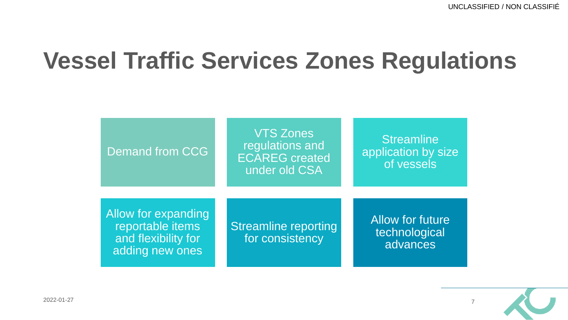

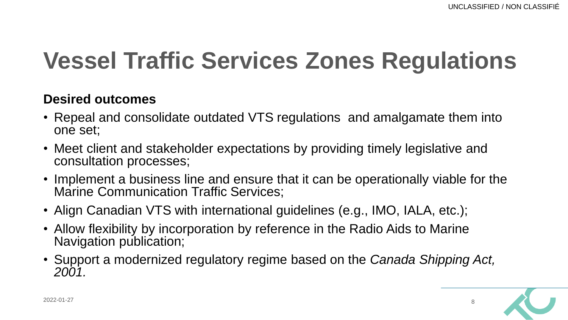#### **Desired outcomes**

- Repeal and consolidate outdated VTS regulations and amalgamate them into one set;
- Meet client and stakeholder expectations by providing timely legislative and consultation processes;
- Implement a business line and ensure that it can be operationally viable for the Marine Communication Traffic Services;
- Align Canadian VTS with international guidelines (e.g., IMO, IALA, etc.);
- Allow flexibility by incorporation by reference in the Radio Aids to Marine Navigation publication;
- Support a modernized regulatory regime based on the *Canada Shipping Act, 2001.*

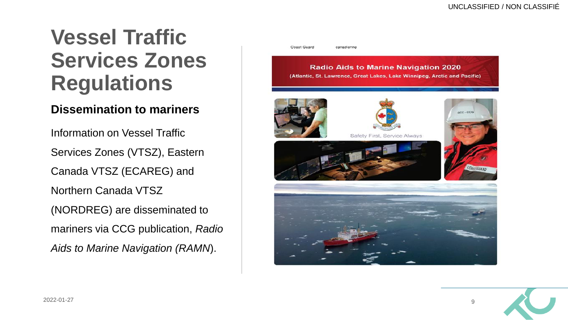#### **Dissemination to mariners**

Information on Vessel Traffic Services Zones (VTSZ), Eastern Canada VTSZ (ECAREG) and Northern Canada VTSZ (NORDREG) are disseminated to mariners via CCG publication, *Radio Aids to Marine Navigation (RAMN*).



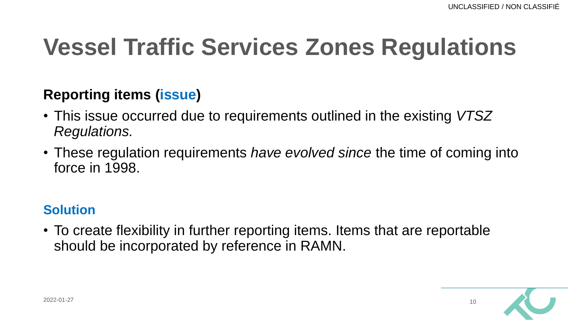### **Reporting items (issue)**

- This issue occurred due to requirements outlined in the existing *VTSZ Regulations.*
- These regulation requirements *have evolved since* the time of coming into force in 1998.

### **Solution**

• To create flexibility in further reporting items. Items that are reportable should be incorporated by reference in RAMN.

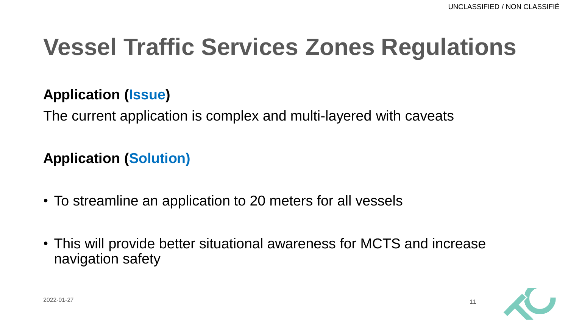### **Application (Issue)**

The current application is complex and multi-layered with caveats

**Application (Solution)**

- To streamline an application to 20 meters for all vessels
- This will provide better situational awareness for MCTS and increase navigation safety

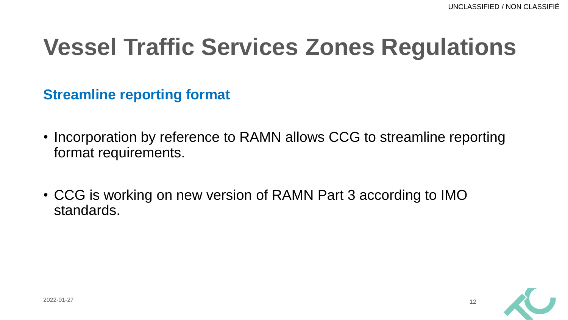**Streamline reporting format**

- Incorporation by reference to RAMN allows CCG to streamline reporting format requirements.
- CCG is working on new version of RAMN Part 3 according to IMO standards.

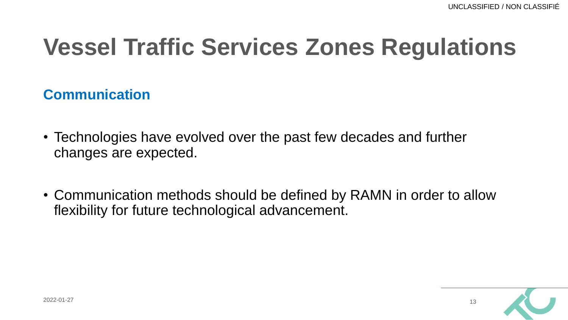### **Communication**

- Technologies have evolved over the past few decades and further changes are expected.
- Communication methods should be defined by RAMN in order to allow flexibility for future technological advancement.